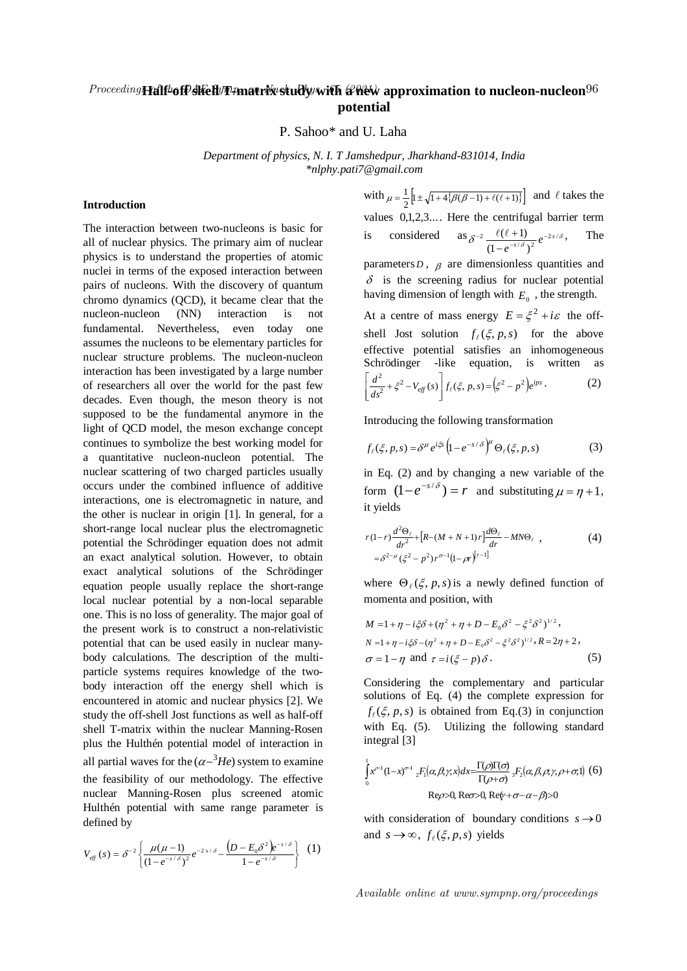## Proceeding**Half46fP MeH/T4matrix Study/with & Rew approximation to nucleon-nucleon**  $^{96}$ **potential**

P. Sahoo\* and U. Laha

*Department of physics, N. I. T Jamshedpur, Jharkhand-831014, India \*nlphy.pati7@gmail.com*

## **Introduction**

The interaction between two-nucleons is basic for all of nuclear physics. The primary aim of nuclear physics is to understand the properties of atomic nuclei in terms of the exposed interaction between pairs of nucleons. With the discovery of quantum chromo dynamics (QCD), it became clear that the nucleon-nucleon (NN) interaction is not fundamental. Nevertheless, even today one assumes the nucleons to be elementary particles for nuclear structure problems. The nucleon-nucleon interaction has been investigated by a large number of researchers all over the world for the past few decades. Even though, the meson theory is not supposed to be the fundamental anymore in the light of QCD model, the meson exchange concept continues to symbolize the best working model for a quantitative nucleon-nucleon potential. The nuclear scattering of two charged particles usually occurs under the combined influence of additive interactions, one is electromagnetic in nature, and the other is nuclear in origin [1]. In general, for a short-range local nuclear plus the electromagnetic potential the Schrödinger equation does not admit an exact analytical solution. However, to obtain exact analytical solutions of the Schrödinger equation people usually replace the short-range local nuclear potential by a non-local separable one. This is no loss of generality. The major goal of the present work is to construct a non-relativistic potential that can be used easily in nuclear manybody calculations. The description of the multiparticle systems requires knowledge of the twobody interaction off the energy shell which is encountered in atomic and nuclear physics [2]. We study the off-shell Jost functions as well as half-off shell T-matrix within the nuclear Manning-Rosen plus the Hulthén potential model of interaction in all partial waves for the  $(\alpha - {}^{3}He)$  system to examine the feasibility of our methodology. The effective nuclear Manning-Rosen plus screened atomic Hulthén potential with same range parameter is defined by

$$
V_{\text{eff}}(s) = \delta^{-2} \left\{ \frac{\mu(\mu - 1)}{(1 - e^{-s/\delta})^2} e^{-2s/\delta} - \frac{\left(D - E_0 \delta^2\right) e^{-s/\delta}}{1 - e^{-s/\delta}} \right\} (1)
$$

with  $\mu = \frac{1}{2} \left[ 1 \pm \sqrt{1 + 4 \{\beta(\beta - 1) + \ell(\ell + 1)\}} \right]$  and  $\ell$  takes the values 0,1,2,3.... Here the centrifugal barrier term is considered as  $\delta^{-2} \frac{\ell(\ell+1)}{(1 - e^{-s/\delta})^2} e^{-2s/\delta}$  $(1 - e^{-s/\delta})$  $e^{-2} \frac{\ell(\ell+1)}{(1-e^{-s/\delta})^2} e^{-2s}$ -  $\frac{\ell(\ell+1)}{\rho^{-2s/\delta}}$ , The

parameters  $D$ ,  $\beta$  are dimensionless quantities and  $\delta$  is the screening radius for nuclear potential having dimension of length with  $E_0$ , the strength.

At a centre of mass energy  $E = \xi^2 + i\varepsilon$  the offshell Jost solution  $f_{\ell}(\xi, p, s)$  for the above effective potential satisfies an inhomogeneous Schrödinger -like equation, is written as  $\frac{d^2}{ds^2} + \xi^2 - V_{\text{eff}}(s) \left[ f_{\ell}(\xi, p, s) = (\xi^2 - p^2) e^{ips} \right]$  $\frac{2}{s^2} + \xi^2 - V_{\text{eff}}(s) \left[ f_{\ell}(\xi, p, s) = \left( \xi^2 - \frac{1}{s^2} \right) \right]$ û ù  $\overline{\phantom{a}}$  $\left[ \frac{d^2}{ds^2} + \xi^2 - V_{\text{eff}}(s) \right] f_{\ell}(\xi, p, s) = (\xi^2 - p^2) e^{ips}.$  (2)

Introducing the following transformation

$$
f_{\ell}(\xi, p, s) = \delta^{\mu} e^{i\xi} \left( 1 - e^{-s/\delta} \right)^{\mu} \Theta_{\ell}(\xi, p, s)
$$
 (3)

in Eq. (2) and by changing a new variable of the form  $(1-e^{-s/\delta}) = r$  and substituting  $\mu = n+1$ , it yields

$$
r(1-r)\frac{d^2\Theta_{\ell}}{dr^2} + [R - (M + N + 1)r]\frac{d\Theta_{\ell}}{dr} - MN\Theta_{\ell} ,
$$
  
=  $\delta^{2-\mu}(\xi^2 - p^2)r^{\sigma-1}(1 - \rho r)^{[r-1]}$  (4)

where  $\Theta_{\ell}(\xi, p, s)$  is a newly defined function of momenta and position, with

$$
M = 1 + \eta - i\xi \delta + (\eta^2 + \eta + D - E_0 \delta^2 - \xi^2 \delta^2)^{1/2},
$$
  
\n
$$
N = 1 + \eta - i\xi \delta - (\eta^2 + \eta + D - E_0 \delta^2 - \xi^2 \delta^2)^{1/2}, R = 2\eta + 2,
$$
  
\n
$$
\sigma = 1 - \eta \text{ and } \tau = i(\xi - p)\delta.
$$
 (5)

Considering the complementary and particular solutions of Eq. (4) the complete expression for  $f_{\ell}(\xi, p, s)$  is obtained from Eq.(3) in conjunction with Eq. (5). Utilizing the following standard integral [3]

$$
\int_{0}^{1} x^{\rho+} (1-x)^{\sigma+} {}_{2}F_{1}(\alpha, \beta, \gamma, x) dx = \frac{\Gamma(\rho)\Gamma(\sigma)}{\Gamma(\rho+\sigma)} {}_{3}F_{2}(\alpha, \beta, \rho, \gamma, \rho+\sigma, 1) \tag{6}
$$
  
Re $\rho$ >0, Re $\sigma$ >0, Re $\psi$ + $\sigma$ - $\alpha$ - $\beta$ >0

with consideration of boundary conditions  $s \rightarrow 0$ and  $s \rightarrow \infty$ ,  $f_{\ell}(\xi, p, s)$  yields

Available online at www.sympnp.org/proceedings